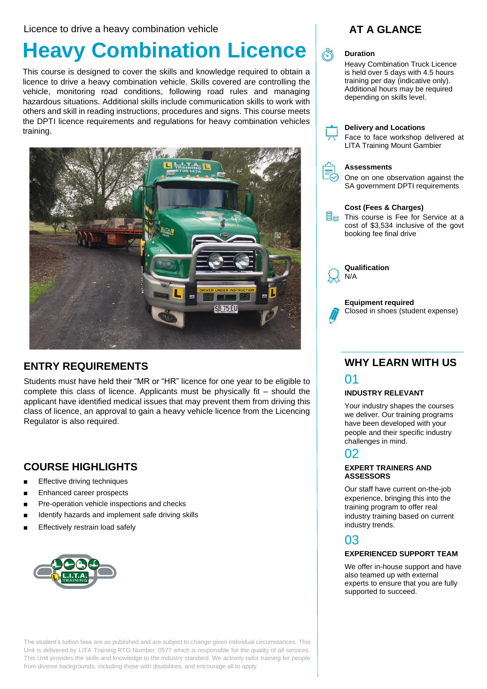Licence to drive a heavy combination vehicle

# **Heavy Combination Licence**

This course is designed to cover the skills and knowledge required to obtain a licence to drive a heavy combination vehicle. Skills covered are controlling the vehicle, monitoring road conditions, following road rules and managing hazardous situations. Additional skills include communication skills to work with others and skill in reading instructions, procedures and signs. This course meets the DPTI licence requirements and regulations for heavy combination vehicles training.



## **ENTRY REQUIREMENTS**

Students must have held their "MR or "HR" licence for one year to be eligible to complete this class of licence. Applicants must be physically fit – should the applicant have identified medical issues that may prevent them from driving this class of licence, an approval to gain a heavy vehicle licence from the Licencing Regulator is also required.

## **COURSE HIGHLIGHTS**

- **Effective driving techniques**
- Enhanced career prospects
- Pre-operation vehicle inspections and checks
- Identify hazards and implement safe driving skills
- Effectively restrain load safely



The student's tuition fees are as published and are subject to change given individual circumstances. This Unit is delivered by LITA Training RTO Number: 0577 which is responsible for the quality of all services. This Unit provides the skills and knowledge to the industry standard. We actively tailor training for people from diverse backgrounds, including those with disabilities, and encourage all to apply.



#### **Duration**

Heavy Combination Truck Licence is held over 5 days with 4.5 hours training per day (indicative only). Additional hours may be required depending on skills level.



#### **Delivery and Locations**

Face to face workshop delivered at LITA Training Mount Gambier



rmm

#### **Assessments**

One on one observation against the SA government DPTI requirements

| Cost (Fees & Charges)<br>This course is Fee for Service at a<br>cost of \$3,534 inclusive of the govt<br>booking fee final drive |
|----------------------------------------------------------------------------------------------------------------------------------|
| Qualification                                                                                                                    |



N/A

**Equipment required**  Closed in shoes (student expense)

## **WHY LEARN WITH US** 01

#### **INDUSTRY RELEVANT**

Your industry shapes the courses we deliver. Our training programs have been developed with your people and their specific industry challenges in mind.

## 02

#### **EXPERT TRAINERS AND ASSESSORS**

Our staff have current on-the-job experience, bringing this into the training program to offer real industry training based on current industry trends.

## 03

#### **EXPERIENCED SUPPORT TEAM**

We offer in-house support and have also teamed up with external experts to ensure that you are fully supported to succeed.